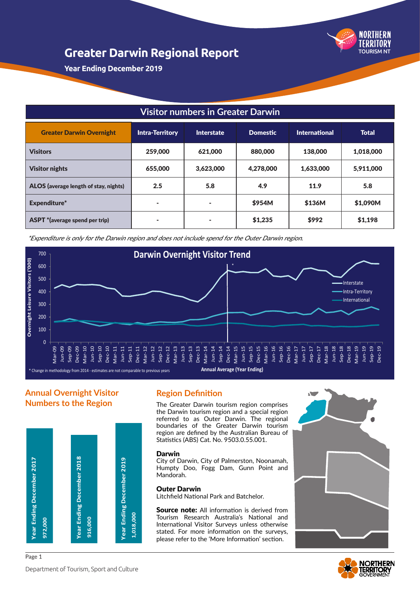

**Year Ending December 2019**

# **Visitor numbers in Greater Darwin**

| <b>Greater Darwin Overnight</b>       | <b>Intra-Territory</b> | <b>Interstate</b> | <b>Domestic</b> | <b>International</b> | <b>Total</b> |
|---------------------------------------|------------------------|-------------------|-----------------|----------------------|--------------|
| <b>Visitors</b>                       | 259,000                | 621,000           | 880,000         | 138,000              | 1,018,000    |
| <b>Visitor nights</b>                 | 655,000                | 3,623,000         | 4,278,000       | 1,633,000            | 5,911,000    |
| ALOS (average length of stay, nights) | 2.5                    | 5.8               | 4.9             | 11.9                 | 5.8          |
| Expenditure*                          | ۰                      | ۰                 | \$954M          | \$136M               | \$1,090M     |
| <b>ASPT</b> *(average spend per trip) |                        | ۰                 | \$1,235         | \$992                | \$1,198      |

\*Expenditure is only for the Darwin region and does not include spend for the Outer Darwin region.



# **Annual Overnight Visitor Numbers to the Region**



### **Region Definition**

The Greater Darwin tourism region comprises the Darwin tourism region and a special region referred to as Outer Darwin. The regional boundaries of the Greater Darwin tourism region are defined by the Australian Bureau of Statistics (ABS) Cat. No. 9503.0.55.001.

#### Darwin

City of Darwin, City of Palmerston, Noonamah, Humpty Doo, Fogg Dam, Gunn Point and Mandorah.

### Outer Darwin

Litchfield National Park and Batchelor.

**Source note:** All information is derived from Tourism Research Australia's National and International Visitor Surveys unless otherwise stated. For more information on the surveys, please refer to the 'More Information' section.



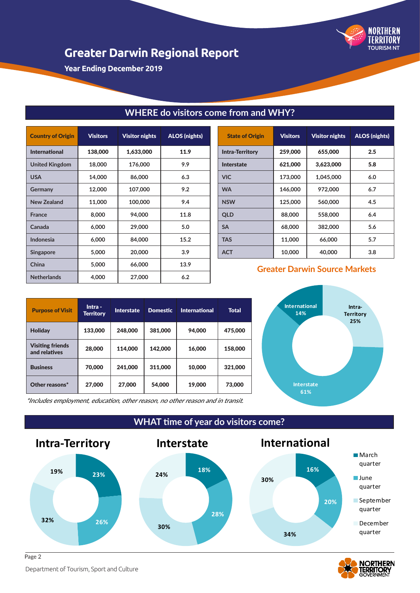

**Year Ending December 2019**

| <b>Country of Origin</b> | <b>Visitors</b> | <b>Visitor nights</b> | <b>ALOS (nights)</b> |
|--------------------------|-----------------|-----------------------|----------------------|
| <b>International</b>     | 138,000         | 1,633,000             | 11.9                 |
| <b>United Kingdom</b>    | 18,000          | 176,000               | 9.9                  |
| <b>USA</b>               | 14,000          | 86,000                | 6.3                  |
| <b>Germany</b>           | 12,000          | 107,000               | 9.2                  |
| <b>New Zealand</b>       | 11,000          | 100,000               | 9.4                  |
| <b>France</b>            | 8,000           | 94,000                | 11.8                 |
| Canada                   | 6,000           | 29,000                | 5.0                  |
| Indonesia                | 6,000           | 84,000                | 15.2                 |
| <b>Singapore</b>         | 5,000           | 20,000                | 3.9                  |
| China                    | 5,000           | 66,000                | 13.9                 |
| <b>Netherlands</b>       | 4,000           | 27,000                | 6.2                  |

# State of Origin | Visitors | Visitor nights | ALOS (nights) Intra-Territory 259,000 655,000 2.5 Interstate 621,000 3,623,000 5.8 **VIC 173,000 1,045,000 6.0 WA 146,000 972,000 6.7 NSW 125,000 560,000 4.5 QLD 88,000 558,000 6.4 SA 68,000 382,000 5.6 TAS 11,000 66,000 5.7 ACT 10,000 40,000 3.8**

### **Greater Darwin Source Markets**

| <b>Purpose of Visit</b>                  | Intra -<br>Territory | <b>Interstate</b> | <b>Domestic</b> | <b>International</b> | <b>Total</b> |
|------------------------------------------|----------------------|-------------------|-----------------|----------------------|--------------|
| <b>Holiday</b>                           | 133,000              | 248,000           | 381,000         | 94,000               | 475,000      |
| <b>Visiting friends</b><br>and relatives | 28,000               | 114,000           | 142,000         | 16,000               | 158,000      |
| <b>Business</b>                          | 70,000               | 241,000           | 311,000         | 10,000               | 321,000      |
| Other reasons*                           | 27,000               | 27,000            | 54,000          | 19,000               | 73,000       |



\*Includes employment, education, other reason, no other reason and in transit.

### **WHAT time of year do visitors come?**

**WHERE do visitors come from and WHY?**





Department of Tourism, Sport and Culture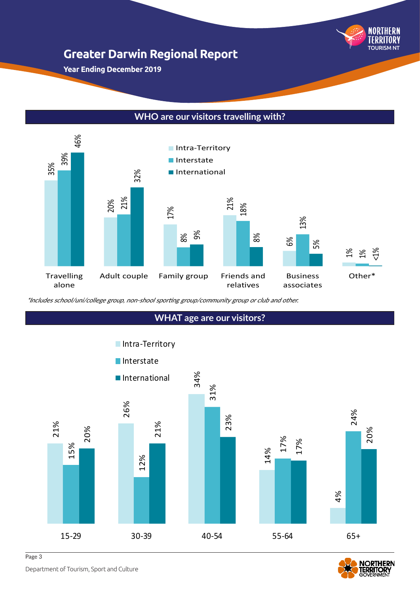

**Year Ending December 2019**

# **WHO are our visitors travelling with?**



\*Includes school/uni/college group, non-shool sporting group/community group or club and other.

# **WHAT age are our visitors?**





Department of Tourism, Sport and Culture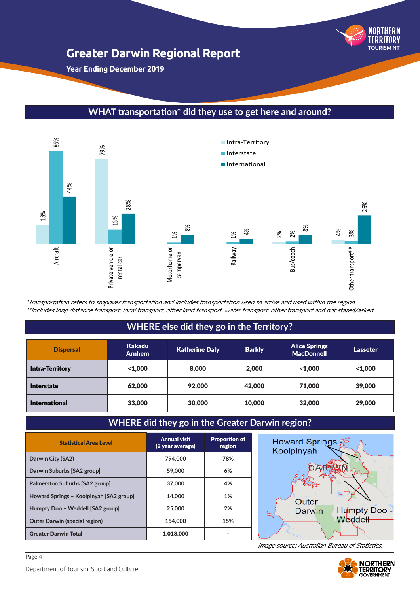

**Year Ending December 2019**

# **WHAT transportation\* did they use to get here and around?**



\*Transportation refers to stopover transportation and includes transportation used to arrive and used within the region. \*\*Includes long distance transport, local transport, other land transport, water transport, other transport and not stated/asked.

# **WHERE else did they go in the Territory?**

| <b>Dispersal</b>       | <b>Kakadu</b><br><b>Arnhem</b> | <b>Katherine Daly</b> | <b>Barkly</b> | <b>Alice Springs</b><br><b>MacDonnell</b> | Lasseter |
|------------------------|--------------------------------|-----------------------|---------------|-------------------------------------------|----------|
| <b>Intra-Territory</b> | 1.000                          | 8,000                 | 2,000         | 1.000                                     | 1.000    |
| <b>Interstate</b>      | 62,000                         | 92,000                | 42,000        | 71,000                                    | 39,000   |
| <b>International</b>   | 33,000                         | 30,000                | 10,000        | 32,000                                    | 29,000   |

# **WHERE did they go in the Greater Darwin region?**

| <b>Statistical Area Level</b>           | <b>Annual visit</b><br>(2 year average) | <b>Proportion of</b><br>region |
|-----------------------------------------|-----------------------------------------|--------------------------------|
| Darwin City (SA2)                       | 794.000                                 | 78%                            |
| Darwin Suburbs [SA2 group]              | 59,000                                  | 6%                             |
| Palmerston Suburbs [SA2 group]          | 37,000                                  | 4%                             |
| Howard Springs - Koolpinyah [SA2 group] | 14,000                                  | 1%                             |
| Humpty Doo - Weddell [SA2 group]        | 25,000                                  | 2%                             |
| <b>Outer Darwin (special region)</b>    | 154,000                                 | 15%                            |
| <b>Greater Darwin Total</b>             | 1,018,000                               |                                |



Image source: Australian Bureau of Statistics.



Page 4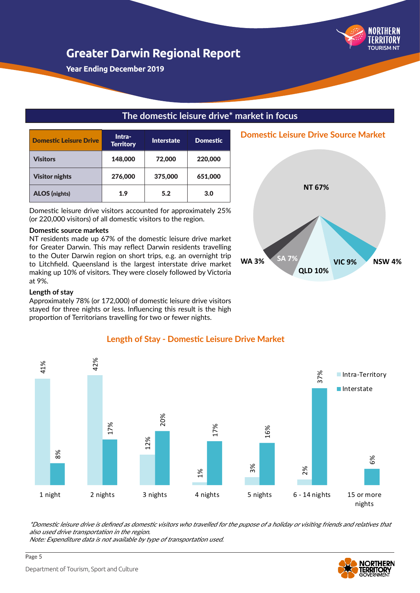

**Year Ending December 2019**

| <b>Domestic Leisure Drive</b> | Intra-<br><b>Territory</b> | <b>Interstate</b> | <b>Domestic</b> |
|-------------------------------|----------------------------|-------------------|-----------------|
| <b>Visitors</b>               | 148,000                    | 72,000            | 220,000         |
| <b>Visitor nights</b>         | 276,000                    | 375,000           | 651,000         |
| <b>ALOS</b> (nights)          | 1.9                        | 5.2               | 3.0             |

Domestic leisure drive visitors accounted for approximately 25% (or 220,000 visitors) of all domestic visitors to the region.

#### **Domestic source markets**

NT residents made up 67% of the domestic leisure drive market for Greater Darwin. This may reflect Darwin residents travelling to the Outer Darwin region on short trips, e.g. an overnight trip to Litchfield. Queensland is the largest interstate drive market making up 10% of visitors. They were closely followed by Victoria at 9%.

### **Length of stay**

Approximately 78% (or 172,000) of domestic leisure drive visitors stayed for three nights or less. Influencing this result is the high proportion of Territorians travelling for two or fewer nights.





### **Length of Stay - Domestic Leisure Drive Market**

**The domestic leisure drive\* market in focus**

\*Domestic leisure drive is defined as domestic visitors who travelled for the pupose of a holiday or visiting friends and relatives that also used drive transportation in the region.

Note: Expenditure data is not available by type of transportation used.

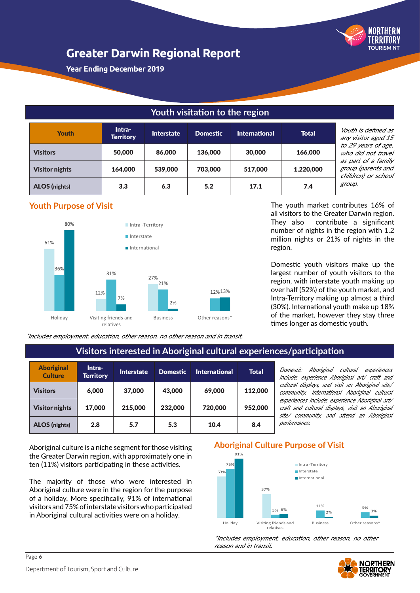

**Year Ending December 2019**

# **Youth visitation to the region**

| <b>Youth</b>          | Intra-<br><b>Territory</b> | <b>Interstate</b> | <b>Domestic</b> | <b>International</b> | <b>Total</b> |
|-----------------------|----------------------------|-------------------|-----------------|----------------------|--------------|
| <b>Visitors</b>       | 50,000                     | 86,000            | 136,000         | 30,000               | 166,000      |
| <b>Visitor nights</b> | 164,000                    | 539,000           | 703,000         | 517,000              | 1,220,000    |
| <b>ALOS</b> (nights)  | 3.3                        | 6.3               | 5.2             | 17.1                 | 7.4          |

outh is defined as ny visitor aged 15 o 29 years of age, who did not travel is part of a family group (parents and children) or school roup.

# **Youth Purpose of Visit**



The youth market contributes 16% of all visitors to the Greater Darwin region. They also contribute a significant number of nights in the region with 1.2 million nights or 21% of nights in the region.

Domestic youth visitors make up the largest number of youth visitors to the region, with interstate youth making up over half (52%) of the youth market, and Intra-Territory making up almost a third (30%). International youth make up 18% of the market, however they stay three times longer as domestic youth.

\*Includes employment, education, other reason, no other reason and in transit.

# **Visitors interested in Aboriginal cultural experiences/participation**

| <b>Aboriginal</b><br><b>Culture</b> | Intra-<br><b>Territory</b> | <b>Interstate</b> | <b>Domestic</b> | <b>International</b> | <b>Total</b> |
|-------------------------------------|----------------------------|-------------------|-----------------|----------------------|--------------|
| <b>Visitors</b>                     | 6,000                      | 37,000            | 43,000          | 69,000               | 112,000      |
| <b>Visitor nights</b>               | 17.000                     | 215,000           | 232,000         | 720,000              | 952,000      |
| <b>ALOS (nights)</b>                | 2.8                        | 5.7               | 5.3             | 10.4                 | 8.4          |

Domestic Aboriginal cultural experiences include: experience Aboriginal art/ craft and cultural displays, and visit an Aboriginal site/ community. International Aboriginal cultural experiences include: experience Aboriginal art/ craft and cultural displays, visit an Aboriginal site/ community, and attend an Aboriginal performance.

Aboriginal culture is a niche segment for those visiting the Greater Darwin region, with approximately one in ten (11%) visitors participating in these activities.

The majority of those who were interested in Aboriginal culture were in the region for the purpose of a holiday. More specifically, 91% of international visitors and 75% of interstate visitors who participated in Aboriginal cultural activities were on a holiday.

# **Aboriginal Culture Purpose of Visit**



\*Includes employment, education, other reason, no other reason and in transit.

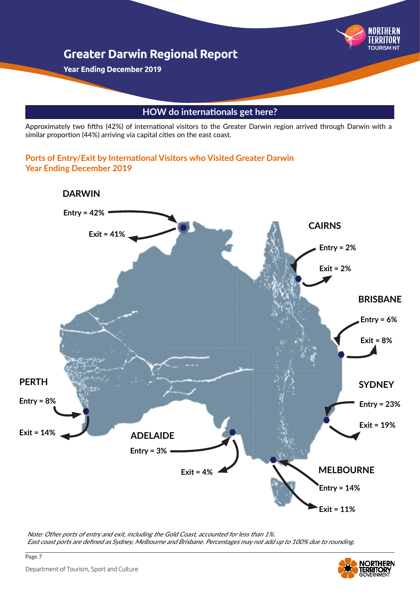

**Year Ending December 2019**

# **HOW do internationals get here?**

Approximately two fifths (42%) of international visitors to the Greater Darwin region arrived through Darwin with a similar proportion (44%) arriving via capital cities on the east coast.

### **Ports of Entry/Exit by International Visitors who Visited Greater Darwin Year Ending December 2019**



Note: Other ports of entry and exit, including the Gold Coast, accounted for less than 1%. East coast ports are defined as Sydney, Melbourne and Brisbane. Percentages may not add up to 100% due to rounding.

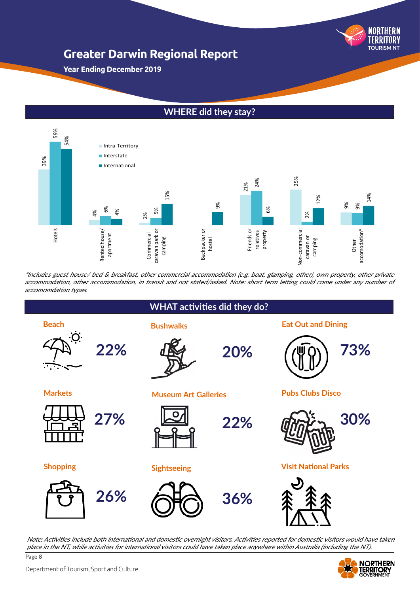

**Year Ending December 2019**

# **WHERE did they stay?**



\*Includes guest house/ bed & breakfast, other commercial accommodation (e.g. boat, glamping, other), own property, other private accommodation, other accommodation, in transit and not stated/asked. Note: short term letting could come under any number of



Page 8 Note: Activities include both international and domestic overnight visitors. Activities reported for domestic visitors would have taken place in the NT, while activities for international visitors could have taken place anywhere within Australia (including the NT).